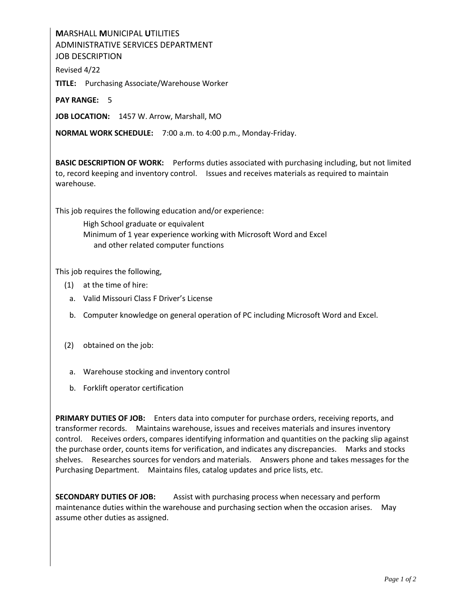## **M**ARSHALL **M**UNICIPAL **U**TILITIES ADMINISTRATIVE SERVICES DEPARTMENT JOB DESCRIPTION

Revised 4/22

**TITLE:** Purchasing Associate/Warehouse Worker

**PAY RANGE:** 5

**JOB LOCATION:** 1457 W. Arrow, Marshall, MO

**NORMAL WORK SCHEDULE:** 7:00 a.m. to 4:00 p.m., Monday-Friday.

**BASIC DESCRIPTION OF WORK:** Performs duties associated with purchasing including, but not limited to, record keeping and inventory control. Issues and receives materials as required to maintain warehouse.

This job requires the following education and/or experience:

High School graduate or equivalent Minimum of 1 year experience working with Microsoft Word and Excel and other related computer functions

This job requires the following,

- (1) at the time of hire:
	- a. Valid Missouri Class F Driver's License
	- b. Computer knowledge on general operation of PC including Microsoft Word and Excel.
- (2) obtained on the job:
	- a. Warehouse stocking and inventory control
- b. Forklift operator certification

**PRIMARY DUTIES OF JOB:** Enters data into computer for purchase orders, receiving reports, and transformer records. Maintains warehouse, issues and receives materials and insures inventory control. Receives orders, compares identifying information and quantities on the packing slip against the purchase order, counts items for verification, and indicates any discrepancies. Marks and stocks shelves. Researches sources for vendors and materials. Answers phone and takes messages for the Purchasing Department. Maintains files, catalog updates and price lists, etc.

**SECONDARY DUTIES OF JOB:** Assist with purchasing process when necessary and perform maintenance duties within the warehouse and purchasing section when the occasion arises. May assume other duties as assigned.